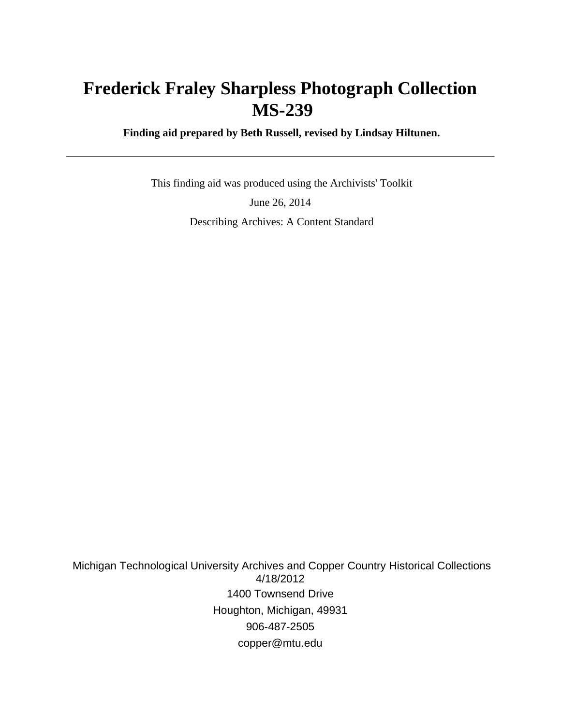# **Frederick Fraley Sharpless Photograph Collection MS-239**

 **Finding aid prepared by Beth Russell, revised by Lindsay Hiltunen.**

 This finding aid was produced using the Archivists' Toolkit June 26, 2014 Describing Archives: A Content Standard

 Michigan Technological University Archives and Copper Country Historical Collections 4/18/2012 1400 Townsend Drive Houghton, Michigan, 49931 906-487-2505 copper@mtu.edu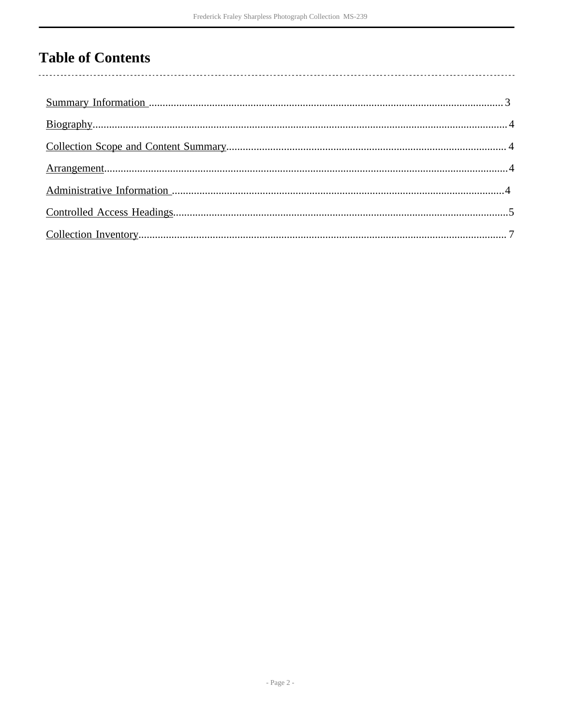# **Table of Contents**

 $\overline{\phantom{a}}$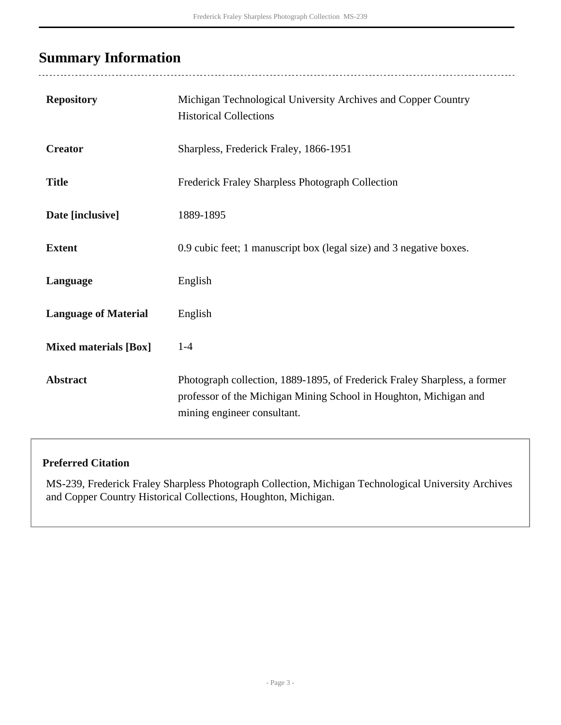# <span id="page-2-0"></span>**Summary Information**

 $\ddot{\phantom{a}}$ 

| <b>Repository</b>            | Michigan Technological University Archives and Copper Country<br><b>Historical Collections</b>                                                                                |
|------------------------------|-------------------------------------------------------------------------------------------------------------------------------------------------------------------------------|
| <b>Creator</b>               | Sharpless, Frederick Fraley, 1866-1951                                                                                                                                        |
| <b>Title</b>                 | <b>Frederick Fraley Sharpless Photograph Collection</b>                                                                                                                       |
| Date [inclusive]             | 1889-1895                                                                                                                                                                     |
| <b>Extent</b>                | 0.9 cubic feet; 1 manuscript box (legal size) and 3 negative boxes.                                                                                                           |
| Language                     | English                                                                                                                                                                       |
| <b>Language of Material</b>  | English                                                                                                                                                                       |
| <b>Mixed materials [Box]</b> | $1-4$                                                                                                                                                                         |
| <b>Abstract</b>              | Photograph collection, 1889-1895, of Frederick Fraley Sharpless, a former<br>professor of the Michigan Mining School in Houghton, Michigan and<br>mining engineer consultant. |

#### **Preferred Citation**

MS-239, Frederick Fraley Sharpless Photograph Collection, Michigan Technological University Archives and Copper Country Historical Collections, Houghton, Michigan.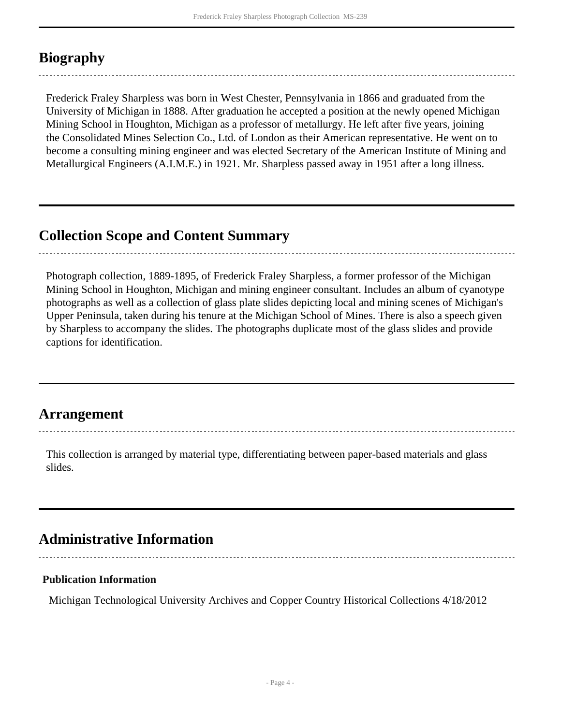## <span id="page-3-0"></span>**Biography**

Frederick Fraley Sharpless was born in West Chester, Pennsylvania in 1866 and graduated from the University of Michigan in 1888. After graduation he accepted a position at the newly opened Michigan Mining School in Houghton, Michigan as a professor of metallurgy. He left after five years, joining the Consolidated Mines Selection Co., Ltd. of London as their American representative. He went on to become a consulting mining engineer and was elected Secretary of the American Institute of Mining and Metallurgical Engineers (A.I.M.E.) in 1921. Mr. Sharpless passed away in 1951 after a long illness.

### <span id="page-3-1"></span>**Collection Scope and Content Summary**

Photograph collection, 1889-1895, of Frederick Fraley Sharpless, a former professor of the Michigan Mining School in Houghton, Michigan and mining engineer consultant. Includes an album of cyanotype photographs as well as a collection of glass plate slides depicting local and mining scenes of Michigan's Upper Peninsula, taken during his tenure at the Michigan School of Mines. There is also a speech given by Sharpless to accompany the slides. The photographs duplicate most of the glass slides and provide captions for identification.

### <span id="page-3-2"></span>**Arrangement**

This collection is arranged by material type, differentiating between paper-based materials and glass slides.

## <span id="page-3-3"></span>**Administrative Information**

#### **Publication Information**

Michigan Technological University Archives and Copper Country Historical Collections 4/18/2012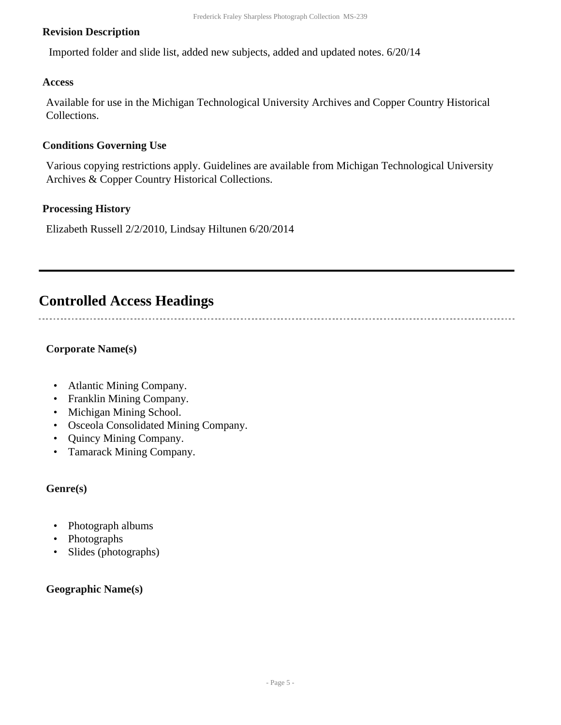#### **Revision Description**

Imported folder and slide list, added new subjects, added and updated notes. 6/20/14

#### **Access**

Available for use in the Michigan Technological University Archives and Copper Country Historical Collections.

#### **Conditions Governing Use**

Various copying restrictions apply. Guidelines are available from Michigan Technological University Archives & Copper Country Historical Collections.

#### **Processing History**

Elizabeth Russell 2/2/2010, Lindsay Hiltunen 6/20/2014

## <span id="page-4-0"></span>**Controlled Access Headings**

**Corporate Name(s)**

- Atlantic Mining Company.
- Franklin Mining Company.
- Michigan Mining School.
- Osceola Consolidated Mining Company.
- Quincy Mining Company.
- Tamarack Mining Company.

#### **Genre(s)**

- Photograph albums
- Photographs
- Slides (photographs)

#### **Geographic Name(s)**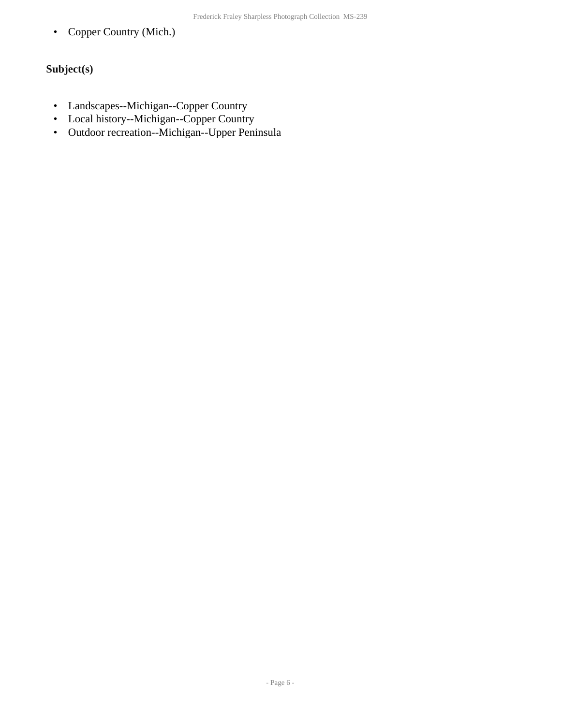• Copper Country (Mich.)

### **Subject(s)**

- Landscapes--Michigan--Copper Country
- Local history--Michigan--Copper Country
- Outdoor recreation--Michigan--Upper Peninsula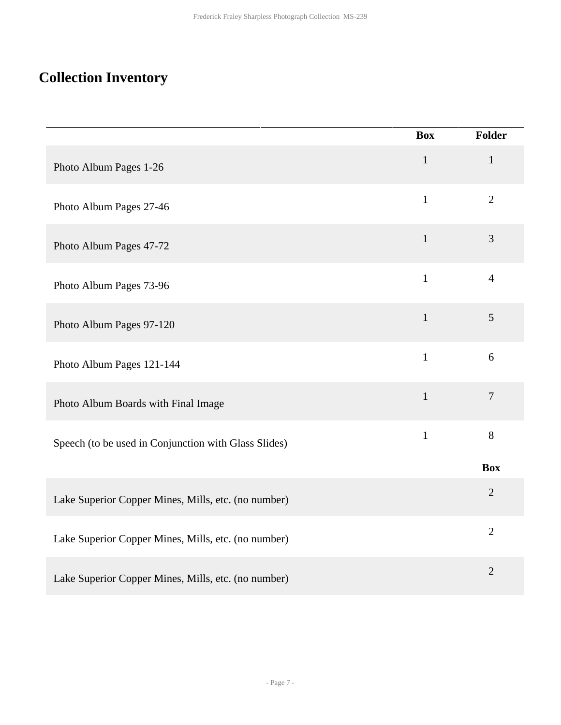# <span id="page-6-0"></span>**Collection Inventory**

|                                                      | <b>Box</b>   | Folder         |
|------------------------------------------------------|--------------|----------------|
| Photo Album Pages 1-26                               | $\mathbf{1}$ | $\mathbf{1}$   |
| Photo Album Pages 27-46                              | $\mathbf{1}$ | $\overline{2}$ |
| Photo Album Pages 47-72                              | $\mathbf{1}$ | $\overline{3}$ |
| Photo Album Pages 73-96                              | $\mathbf{1}$ | $\overline{4}$ |
| Photo Album Pages 97-120                             | $1\,$        | 5              |
| Photo Album Pages 121-144                            | $\mathbf{1}$ | 6              |
| Photo Album Boards with Final Image                  | $\mathbf{1}$ | $\overline{7}$ |
| Speech (to be used in Conjunction with Glass Slides) | $\mathbf{1}$ | $8\,$          |
|                                                      |              | <b>Box</b>     |
| Lake Superior Copper Mines, Mills, etc. (no number)  |              | $\overline{2}$ |
| Lake Superior Copper Mines, Mills, etc. (no number)  |              | $\overline{2}$ |
| Lake Superior Copper Mines, Mills, etc. (no number)  |              | $\overline{2}$ |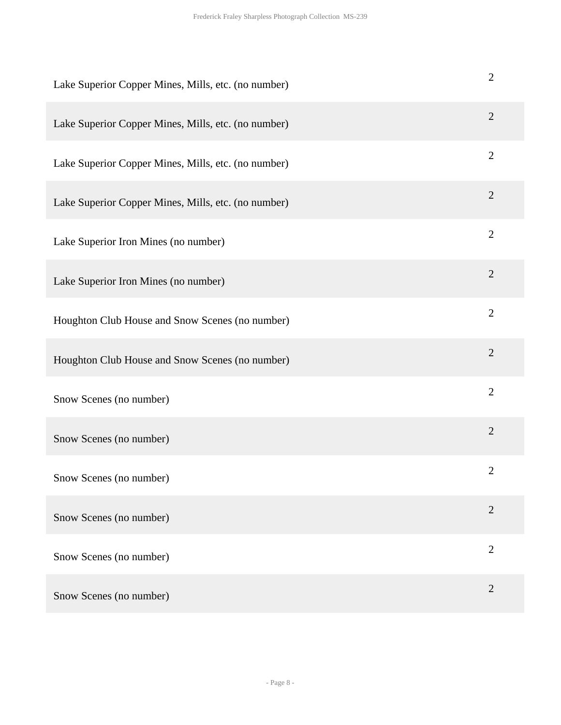| Lake Superior Copper Mines, Mills, etc. (no number) | $\mathbf{2}$   |
|-----------------------------------------------------|----------------|
| Lake Superior Copper Mines, Mills, etc. (no number) | $\overline{2}$ |
| Lake Superior Copper Mines, Mills, etc. (no number) | $\overline{2}$ |
| Lake Superior Copper Mines, Mills, etc. (no number) | $\overline{2}$ |
| Lake Superior Iron Mines (no number)                | $\overline{2}$ |
| Lake Superior Iron Mines (no number)                | $\overline{2}$ |
| Houghton Club House and Snow Scenes (no number)     | $\overline{2}$ |
| Houghton Club House and Snow Scenes (no number)     | $\overline{2}$ |
| Snow Scenes (no number)                             | $\overline{2}$ |
| Snow Scenes (no number)                             | $\mathbf{2}$   |
| Snow Scenes (no number)                             | $\overline{2}$ |
| Snow Scenes (no number)                             | $\overline{2}$ |
| Snow Scenes (no number)                             | $\overline{2}$ |
| Snow Scenes (no number)                             | $\overline{2}$ |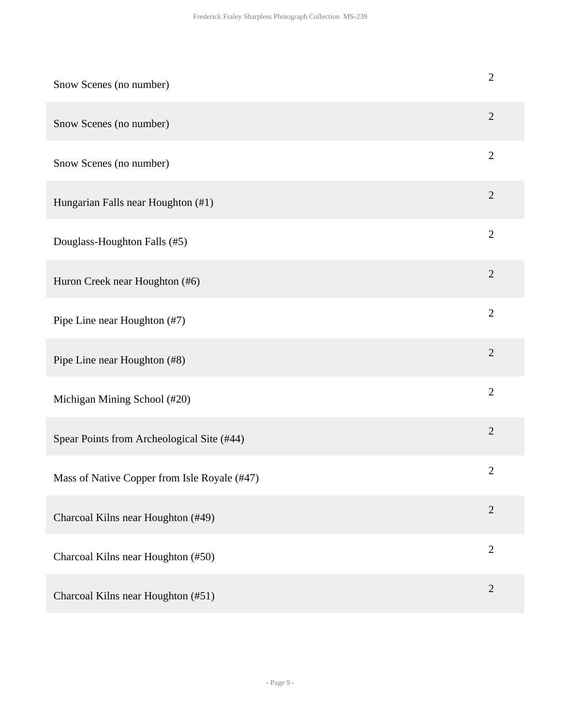| Snow Scenes (no number)                      | $\overline{c}$ |
|----------------------------------------------|----------------|
| Snow Scenes (no number)                      | $\overline{2}$ |
| Snow Scenes (no number)                      | $\mathbf{2}$   |
| Hungarian Falls near Houghton (#1)           | $\overline{2}$ |
| Douglass-Houghton Falls (#5)                 | $\overline{2}$ |
| Huron Creek near Houghton (#6)               | $\mathbf{2}$   |
| Pipe Line near Houghton (#7)                 | $\overline{2}$ |
| Pipe Line near Houghton (#8)                 | $\mathbf{2}$   |
| Michigan Mining School (#20)                 | $\overline{2}$ |
| Spear Points from Archeological Site (#44)   | $\overline{2}$ |
| Mass of Native Copper from Isle Royale (#47) | $\mathbf{2}$   |
| Charcoal Kilns near Houghton (#49)           | $\overline{2}$ |
| Charcoal Kilns near Houghton (#50)           | $\overline{2}$ |
| Charcoal Kilns near Houghton (#51)           | $\overline{2}$ |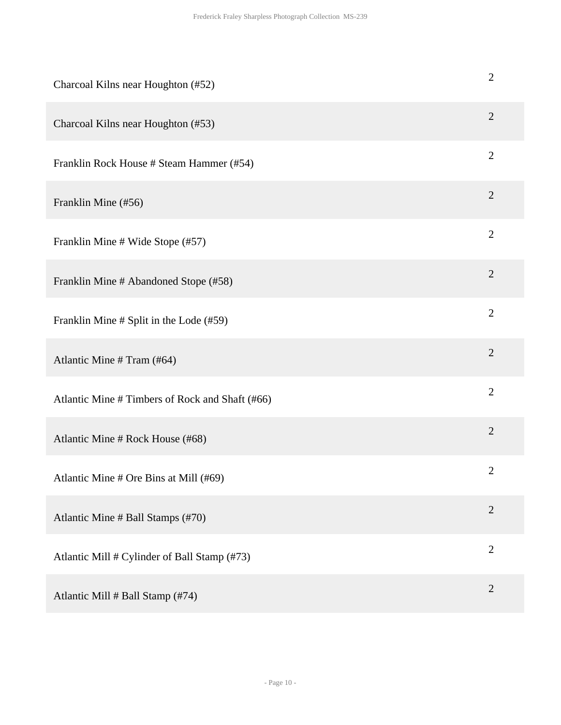| Charcoal Kilns near Houghton (#52)              | $\overline{2}$ |
|-------------------------------------------------|----------------|
| Charcoal Kilns near Houghton (#53)              | $\overline{2}$ |
| Franklin Rock House # Steam Hammer (#54)        | $\overline{2}$ |
| Franklin Mine (#56)                             | $\overline{2}$ |
| Franklin Mine # Wide Stope (#57)                | $\overline{2}$ |
| Franklin Mine # Abandoned Stope (#58)           | $\overline{2}$ |
| Franklin Mine # Split in the Lode (#59)         | $\overline{2}$ |
| Atlantic Mine # Tram (#64)                      | $\overline{2}$ |
| Atlantic Mine # Timbers of Rock and Shaft (#66) | $\overline{2}$ |
| Atlantic Mine # Rock House (#68)                | $\overline{2}$ |
| Atlantic Mine # Ore Bins at Mill (#69)          | $\mathfrak{2}$ |
| Atlantic Mine # Ball Stamps (#70)               | $\overline{2}$ |
| Atlantic Mill # Cylinder of Ball Stamp (#73)    | $\overline{2}$ |
| Atlantic Mill # Ball Stamp (#74)                | $\overline{2}$ |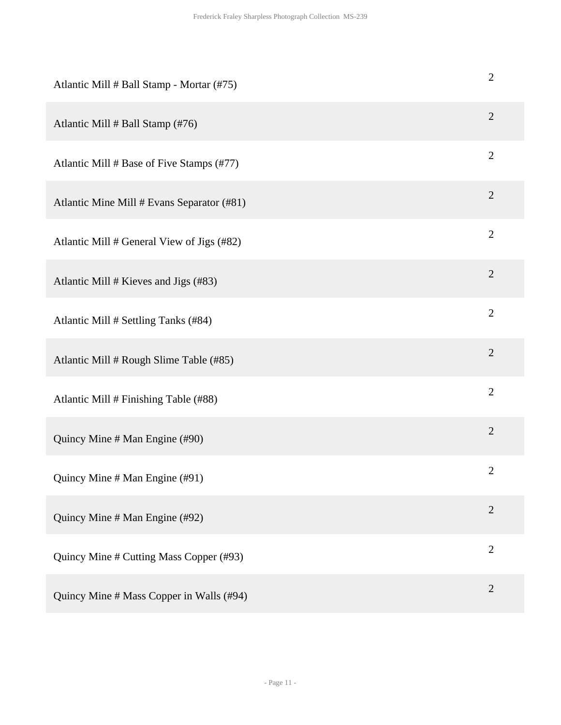| Atlantic Mill # Ball Stamp - Mortar (#75)  | $\overline{c}$ |
|--------------------------------------------|----------------|
| Atlantic Mill # Ball Stamp (#76)           | $\overline{2}$ |
| Atlantic Mill # Base of Five Stamps (#77)  | $\overline{2}$ |
| Atlantic Mine Mill # Evans Separator (#81) | $\overline{2}$ |
| Atlantic Mill # General View of Jigs (#82) | $\overline{2}$ |
| Atlantic Mill # Kieves and Jigs (#83)      | $\mathbf{2}$   |
| Atlantic Mill # Settling Tanks (#84)       | $\overline{2}$ |
| Atlantic Mill # Rough Slime Table (#85)    | $\overline{2}$ |
| Atlantic Mill # Finishing Table (#88)      | $\overline{2}$ |
| Quincy Mine # Man Engine (#90)             | $\mathbf{2}$   |
| Quincy Mine # Man Engine (#91)             | $\mathbf{2}$   |
| Quincy Mine # Man Engine (#92)             | $\overline{2}$ |
| Quincy Mine # Cutting Mass Copper (#93)    | $\mathbf{2}$   |
| Quincy Mine # Mass Copper in Walls (#94)   | $\overline{2}$ |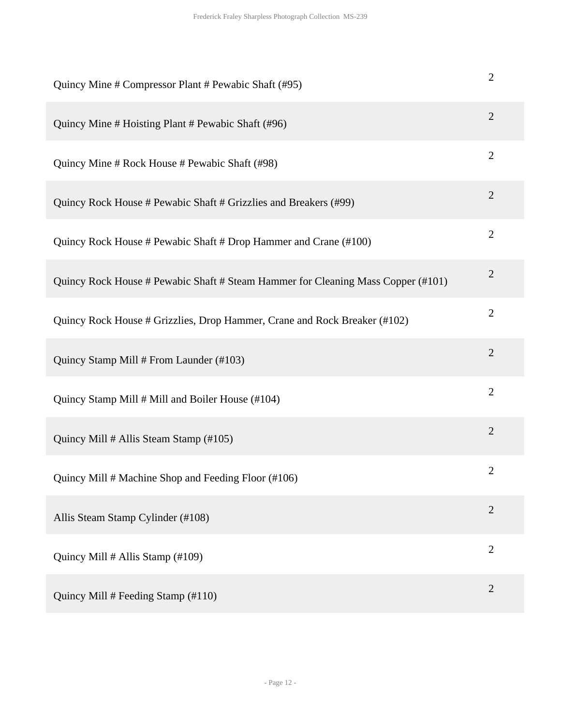| Quincy Mine # Compressor Plant # Pewabic Shaft (#95)                             | $\overline{2}$ |
|----------------------------------------------------------------------------------|----------------|
| Quincy Mine # Hoisting Plant # Pewabic Shaft (#96)                               | $\overline{2}$ |
| Quincy Mine # Rock House # Pewabic Shaft (#98)                                   | $\overline{2}$ |
| Quincy Rock House # Pewabic Shaft # Grizzlies and Breakers (#99)                 | $\overline{2}$ |
| Quincy Rock House # Pewabic Shaft # Drop Hammer and Crane (#100)                 | $\overline{2}$ |
| Quincy Rock House # Pewabic Shaft # Steam Hammer for Cleaning Mass Copper (#101) | $\overline{2}$ |
| Quincy Rock House # Grizzlies, Drop Hammer, Crane and Rock Breaker (#102)        | $\overline{2}$ |
| Quincy Stamp Mill # From Launder (#103)                                          | $\overline{2}$ |
| Quincy Stamp Mill # Mill and Boiler House (#104)                                 | $\overline{2}$ |
| Quincy Mill # Allis Steam Stamp (#105)                                           | $\overline{2}$ |
| Quincy Mill # Machine Shop and Feeding Floor (#106)                              | $\overline{2}$ |
| Allis Steam Stamp Cylinder (#108)                                                | $\overline{2}$ |
| Quincy Mill # Allis Stamp (#109)                                                 | $\overline{2}$ |
| Quincy Mill # Feeding Stamp (#110)                                               | $\overline{2}$ |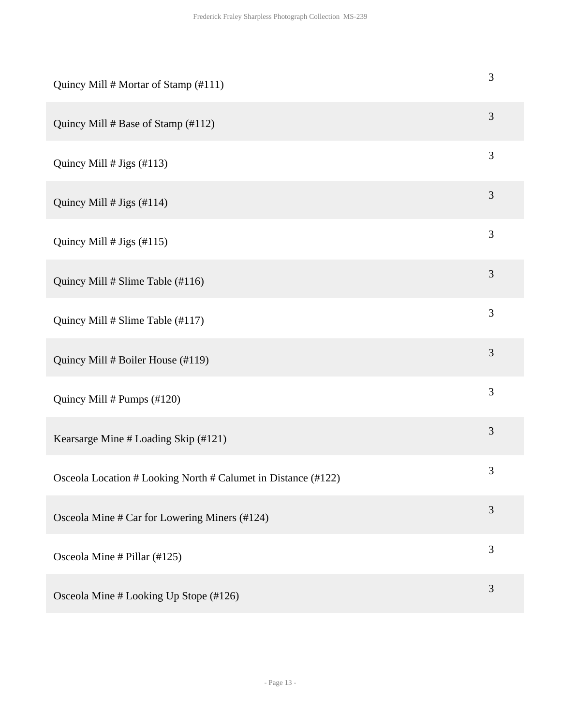| Quincy Mill # Mortar of Stamp (#111)                          | $\mathfrak{Z}$ |
|---------------------------------------------------------------|----------------|
| Quincy Mill # Base of Stamp (#112)                            | 3              |
| Quincy Mill $# Jigs (#113)$                                   | $\mathfrak{Z}$ |
| Quincy Mill $# Jigs (#114)$                                   | 3              |
| Quincy Mill $# Jigs (#115)$                                   | 3              |
| Quincy Mill # Slime Table (#116)                              | $\mathfrak{Z}$ |
| Quincy Mill # Slime Table (#117)                              | $\mathfrak{Z}$ |
| Quincy Mill # Boiler House (#119)                             | 3              |
| Quincy Mill # Pumps (#120)                                    | $\mathfrak{Z}$ |
| Kearsarge Mine # Loading Skip (#121)                          | $\mathfrak{Z}$ |
| Osceola Location # Looking North # Calumet in Distance (#122) | $\mathfrak{Z}$ |
| Osceola Mine # Car for Lowering Miners (#124)                 | 3              |
| Osceola Mine # Pillar (#125)                                  | 3              |
| Osceola Mine # Looking Up Stope (#126)                        | 3              |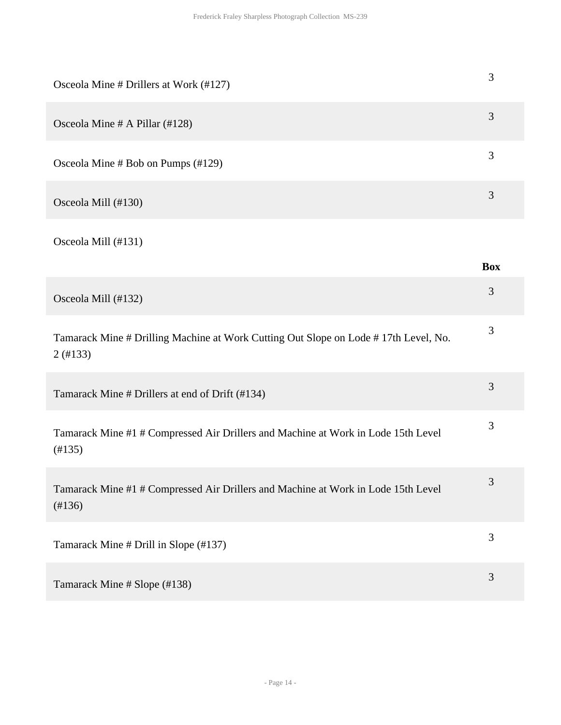| Osceola Mine # Drillers at Work (#127)                                                                | $\mathfrak{Z}$ |
|-------------------------------------------------------------------------------------------------------|----------------|
| Osceola Mine # A Pillar (#128)                                                                        | 3              |
| Osceola Mine # Bob on Pumps (#129)                                                                    | $\mathfrak{Z}$ |
| Osceola Mill (#130)                                                                                   | 3              |
| Osceola Mill (#131)                                                                                   | <b>Box</b>     |
| Osceola Mill (#132)                                                                                   | 3              |
| Tamarack Mine # Drilling Machine at Work Cutting Out Slope on Lode # 17th Level, No.<br>$2($ #133 $)$ | 3              |
| Tamarack Mine # Drillers at end of Drift (#134)                                                       | $\mathfrak{Z}$ |
| Tamarack Mine #1 # Compressed Air Drillers and Machine at Work in Lode 15th Level<br>(H135)           | 3              |
| Tamarack Mine #1 # Compressed Air Drillers and Machine at Work in Lode 15th Level<br>(#136)           | 3              |
| Tamarack Mine # Drill in Slope (#137)                                                                 | $\mathfrak{Z}$ |
| Tamarack Mine # Slope (#138)                                                                          | $\mathfrak{Z}$ |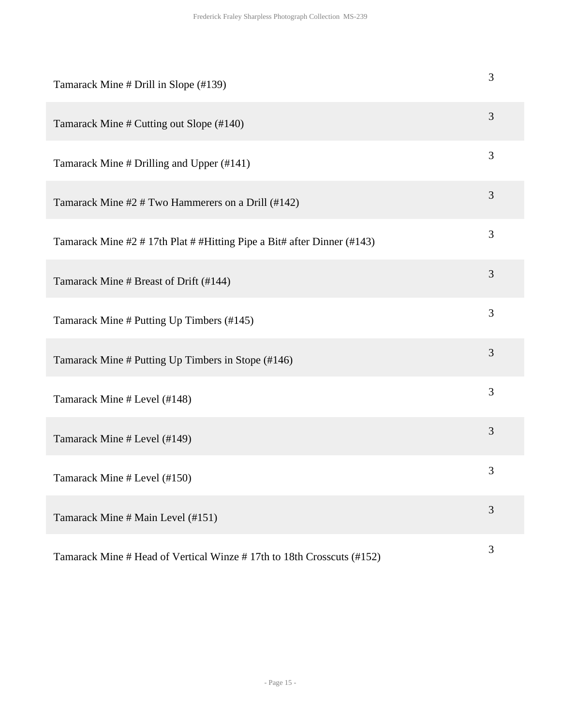| Tamarack Mine # Drill in Slope (#139)                                   | 3 |
|-------------------------------------------------------------------------|---|
| Tamarack Mine # Cutting out Slope (#140)                                | 3 |
| Tamarack Mine # Drilling and Upper (#141)                               | 3 |
| Tamarack Mine #2 # Two Hammerers on a Drill (#142)                      | 3 |
| Tamarack Mine #2 # 17th Plat # #Hitting Pipe a Bit# after Dinner (#143) | 3 |
| Tamarack Mine # Breast of Drift (#144)                                  | 3 |
| Tamarack Mine # Putting Up Timbers (#145)                               | 3 |
| Tamarack Mine # Putting Up Timbers in Stope (#146)                      | 3 |
| Tamarack Mine # Level (#148)                                            | 3 |
| Tamarack Mine # Level (#149)                                            | 3 |
| Tamarack Mine # Level (#150)                                            | 3 |
| Tamarack Mine # Main Level (#151)                                       | 3 |
| Tamarack Mine # Head of Vertical Winze #17th to 18th Crosscuts (#152)   | 3 |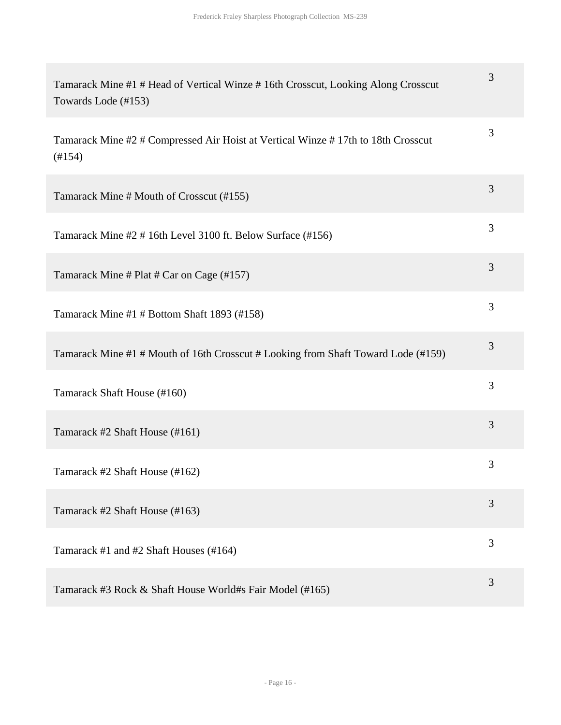| Tamarack Mine #1 # Head of Vertical Winze # 16th Crosscut, Looking Along Crosscut<br>Towards Lode (#153) | 3 |
|----------------------------------------------------------------------------------------------------------|---|
| Tamarack Mine #2 # Compressed Air Hoist at Vertical Winze #17th to 18th Crosscut<br>$(\#154)$            | 3 |
| Tamarack Mine # Mouth of Crosscut (#155)                                                                 | 3 |
| Tamarack Mine #2 # 16th Level 3100 ft. Below Surface (#156)                                              | 3 |
| Tamarack Mine # Plat # Car on Cage (#157)                                                                | 3 |
| Tamarack Mine #1 # Bottom Shaft 1893 (#158)                                                              | 3 |
| Tamarack Mine #1 # Mouth of 16th Crosscut # Looking from Shaft Toward Lode (#159)                        | 3 |
| Tamarack Shaft House (#160)                                                                              | 3 |
| Tamarack #2 Shaft House (#161)                                                                           | 3 |
| Tamarack #2 Shaft House (#162)                                                                           | 3 |
| Tamarack #2 Shaft House (#163)                                                                           | 3 |
| Tamarack #1 and #2 Shaft Houses (#164)                                                                   | 3 |
| Tamarack #3 Rock & Shaft House World#s Fair Model (#165)                                                 | 3 |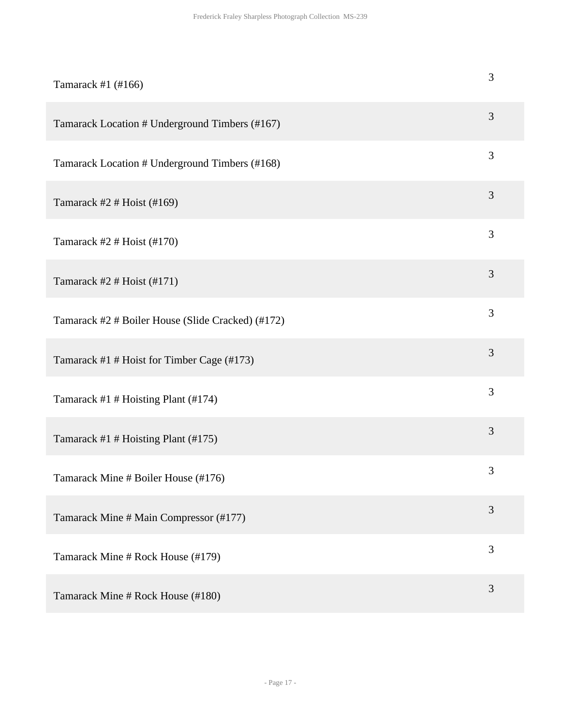| Tamarack #1 (#166)                                | 3              |
|---------------------------------------------------|----------------|
| Tamarack Location # Underground Timbers (#167)    | 3              |
| Tamarack Location # Underground Timbers (#168)    | 3              |
| Tamarack #2 # Hoist (#169)                        | 3              |
| Tamarack #2 # Hoist $(#170)$                      | 3              |
| Tamarack #2 # Hoist $($ #171 $)$                  | 3              |
| Tamarack #2 # Boiler House (Slide Cracked) (#172) | 3              |
| Tamarack #1 # Hoist for Timber Cage (#173)        | 3              |
| Tamarack #1 # Hoisting Plant (#174)               | 3              |
| Tamarack #1 # Hoisting Plant (#175)               | 3              |
| Tamarack Mine # Boiler House (#176)               | $\mathfrak{Z}$ |
| Tamarack Mine # Main Compressor (#177)            | 3              |
| Tamarack Mine # Rock House (#179)                 | 3              |
| Tamarack Mine # Rock House (#180)                 | 3              |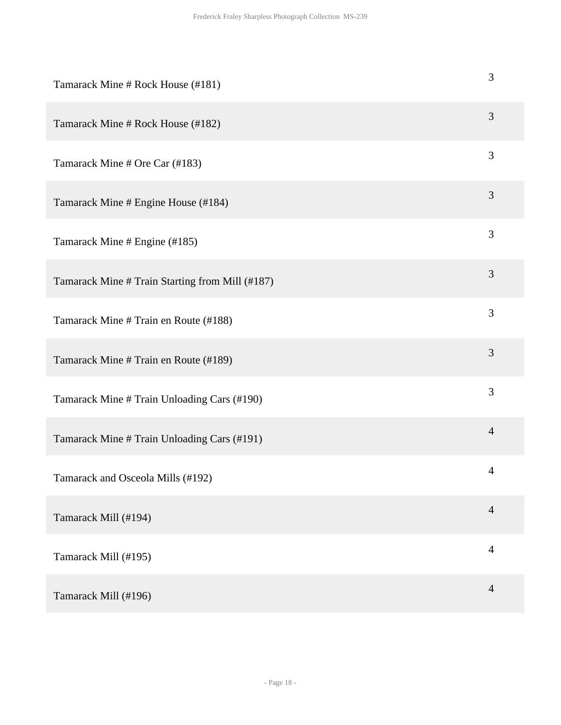| Tamarack Mine # Rock House (#181)               | 3              |
|-------------------------------------------------|----------------|
| Tamarack Mine # Rock House (#182)               | 3              |
| Tamarack Mine # Ore Car (#183)                  | 3              |
| Tamarack Mine # Engine House (#184)             | 3              |
| Tamarack Mine # Engine (#185)                   | 3              |
| Tamarack Mine # Train Starting from Mill (#187) | 3              |
| Tamarack Mine # Train en Route (#188)           | 3              |
| Tamarack Mine # Train en Route (#189)           | 3              |
| Tamarack Mine # Train Unloading Cars (#190)     | 3              |
| Tamarack Mine # Train Unloading Cars (#191)     | $\overline{4}$ |
| Tamarack and Osceola Mills (#192)               | $\overline{4}$ |
| Tamarack Mill (#194)                            | $\overline{4}$ |
| Tamarack Mill (#195)                            | $\overline{4}$ |
| Tamarack Mill (#196)                            | $\overline{4}$ |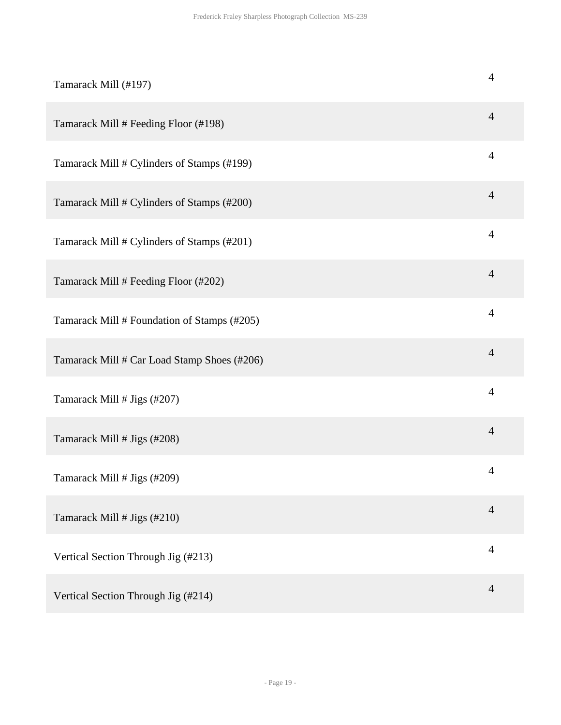| Tamarack Mill (#197)                        | $\overline{4}$ |
|---------------------------------------------|----------------|
| Tamarack Mill # Feeding Floor (#198)        | $\overline{4}$ |
| Tamarack Mill # Cylinders of Stamps (#199)  | $\overline{4}$ |
| Tamarack Mill # Cylinders of Stamps (#200)  | $\overline{4}$ |
| Tamarack Mill # Cylinders of Stamps (#201)  | $\overline{4}$ |
| Tamarack Mill # Feeding Floor (#202)        | $\overline{4}$ |
| Tamarack Mill # Foundation of Stamps (#205) | $\overline{4}$ |
| Tamarack Mill # Car Load Stamp Shoes (#206) | $\overline{4}$ |
| Tamarack Mill # Jigs (#207)                 | $\overline{4}$ |
| Tamarack Mill # Jigs (#208)                 | $\overline{4}$ |
| Tamarack Mill # Jigs (#209)                 | $\overline{4}$ |
| Tamarack Mill # Jigs (#210)                 | $\overline{4}$ |
| Vertical Section Through Jig (#213)         | $\overline{4}$ |
| Vertical Section Through Jig (#214)         | $\overline{4}$ |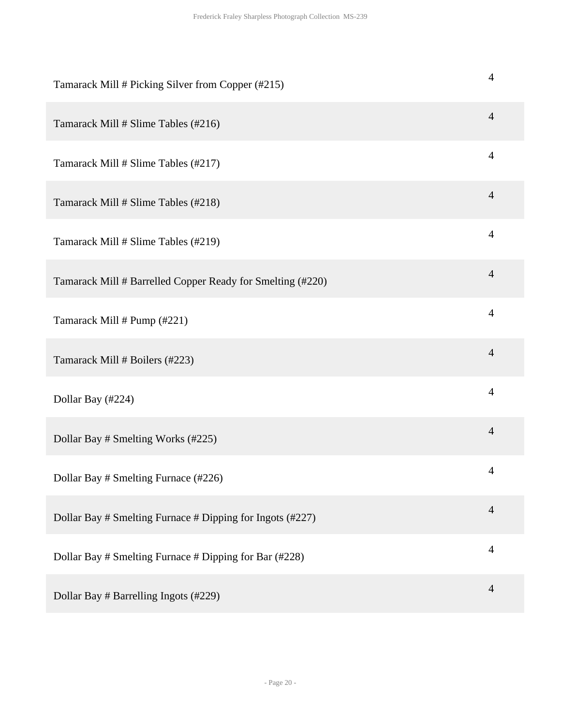| Tamarack Mill # Picking Silver from Copper (#215)          | 4              |
|------------------------------------------------------------|----------------|
| Tamarack Mill # Slime Tables (#216)                        | $\overline{4}$ |
| Tamarack Mill # Slime Tables (#217)                        | $\overline{4}$ |
| Tamarack Mill # Slime Tables (#218)                        | $\overline{4}$ |
| Tamarack Mill # Slime Tables (#219)                        | $\overline{4}$ |
| Tamarack Mill # Barrelled Copper Ready for Smelting (#220) | $\overline{4}$ |
| Tamarack Mill # Pump (#221)                                | $\overline{4}$ |
| Tamarack Mill # Boilers (#223)                             | $\overline{4}$ |
| Dollar Bay (#224)                                          | $\overline{4}$ |
| Dollar Bay # Smelting Works (#225)                         | $\overline{4}$ |
| Dollar Bay # Smelting Furnace (#226)                       | $\overline{4}$ |
| Dollar Bay # Smelting Furnace # Dipping for Ingots (#227)  | $\overline{4}$ |
| Dollar Bay # Smelting Furnace # Dipping for Bar (#228)     | $\overline{4}$ |
| Dollar Bay # Barrelling Ingots (#229)                      | $\overline{4}$ |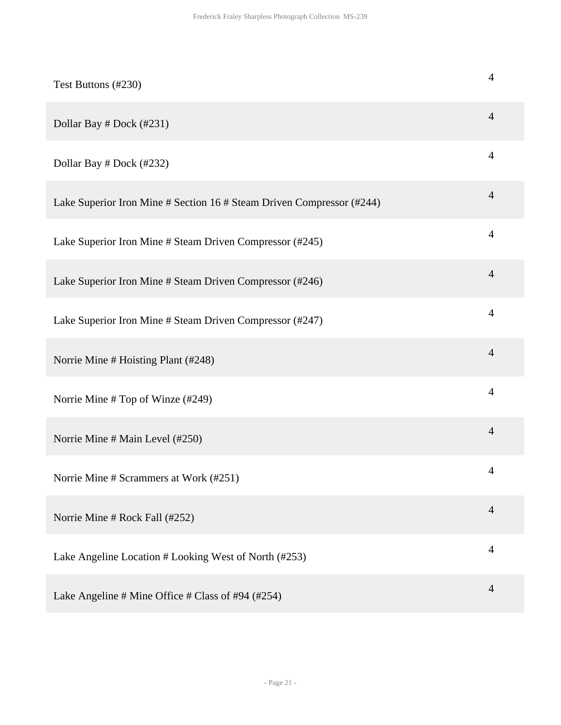| Test Buttons (#230)                                                   | 4              |
|-----------------------------------------------------------------------|----------------|
| Dollar Bay # Dock (#231)                                              | 4              |
| Dollar Bay # Dock (#232)                                              | 4              |
| Lake Superior Iron Mine # Section 16 # Steam Driven Compressor (#244) | $\overline{4}$ |
| Lake Superior Iron Mine # Steam Driven Compressor (#245)              | 4              |
| Lake Superior Iron Mine # Steam Driven Compressor (#246)              | $\overline{4}$ |
| Lake Superior Iron Mine # Steam Driven Compressor (#247)              | $\overline{4}$ |
| Norrie Mine # Hoisting Plant (#248)                                   | $\overline{4}$ |
| Norrie Mine # Top of Winze (#249)                                     | $\overline{4}$ |
| Norrie Mine # Main Level (#250)                                       | $\overline{4}$ |
| Norrie Mine # Scrammers at Work (#251)                                | 4              |
| Norrie Mine # Rock Fall (#252)                                        | $\overline{4}$ |
| Lake Angeline Location # Looking West of North (#253)                 | 4              |
| Lake Angeline # Mine Office # Class of #94 (#254)                     | 4              |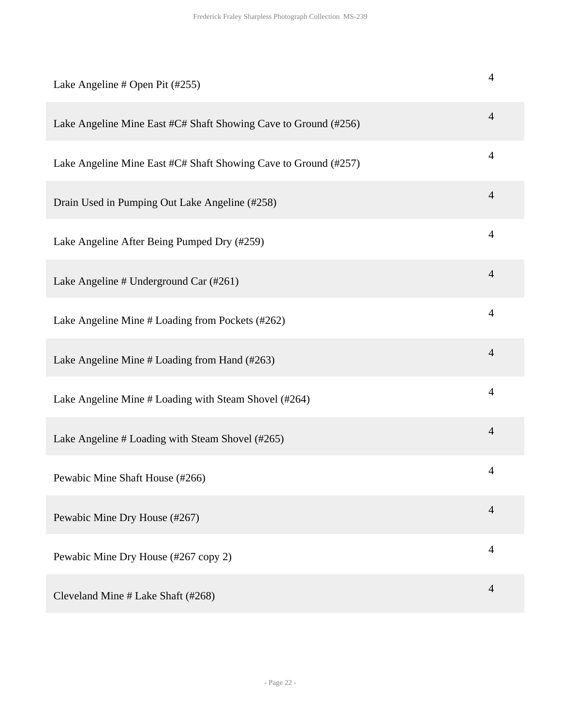| Lake Angeline # Open Pit (#255)                                 | $\overline{4}$ |
|-----------------------------------------------------------------|----------------|
| Lake Angeline Mine East #C# Shaft Showing Cave to Ground (#256) | $\overline{4}$ |
| Lake Angeline Mine East #C# Shaft Showing Cave to Ground (#257) | $\overline{4}$ |
| Drain Used in Pumping Out Lake Angeline (#258)                  | $\overline{4}$ |
| Lake Angeline After Being Pumped Dry (#259)                     | $\overline{4}$ |
| Lake Angeline # Underground Car (#261)                          | $\overline{4}$ |
| Lake Angeline Mine # Loading from Pockets (#262)                | $\overline{4}$ |
| Lake Angeline Mine # Loading from Hand (#263)                   | $\overline{4}$ |
| Lake Angeline Mine # Loading with Steam Shovel (#264)           | $\overline{4}$ |
| Lake Angeline # Loading with Steam Shovel (#265)                | $\overline{4}$ |
| Pewabic Mine Shaft House (#266)                                 | $\overline{4}$ |
| Pewabic Mine Dry House (#267)                                   | $\overline{4}$ |
| Pewabic Mine Dry House (#267 copy 2)                            | $\overline{4}$ |
| Cleveland Mine # Lake Shaft (#268)                              | $\overline{4}$ |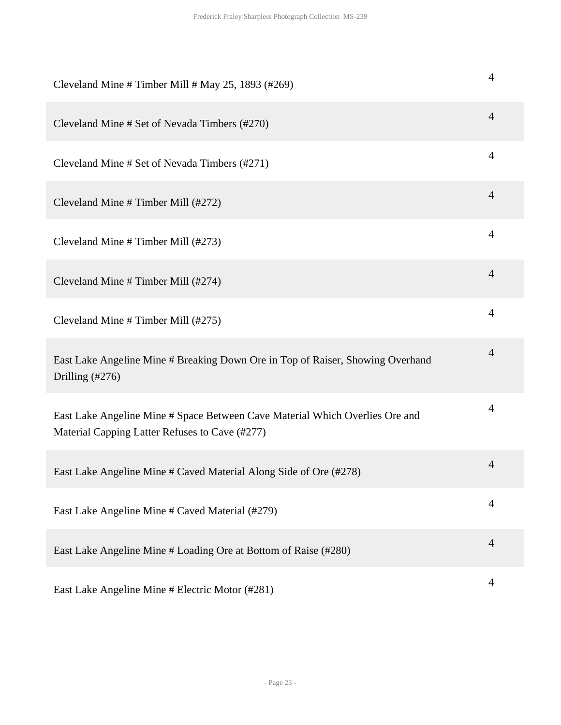| Cleveland Mine # Timber Mill # May 25, 1893 (#269)                                                                             | 4              |
|--------------------------------------------------------------------------------------------------------------------------------|----------------|
| Cleveland Mine # Set of Nevada Timbers (#270)                                                                                  | $\overline{4}$ |
| Cleveland Mine # Set of Nevada Timbers (#271)                                                                                  | 4              |
| Cleveland Mine # Timber Mill (#272)                                                                                            | 4              |
| Cleveland Mine # Timber Mill (#273)                                                                                            | 4              |
| Cleveland Mine # Timber Mill (#274)                                                                                            | $\overline{4}$ |
| Cleveland Mine # Timber Mill (#275)                                                                                            | 4              |
| East Lake Angeline Mine # Breaking Down Ore in Top of Raiser, Showing Overhand<br>Drilling (#276)                              | $\overline{4}$ |
| East Lake Angeline Mine # Space Between Cave Material Which Overlies Ore and<br>Material Capping Latter Refuses to Cave (#277) | 4              |
| East Lake Angeline Mine # Caved Material Along Side of Ore (#278)                                                              | 4              |
| East Lake Angeline Mine # Caved Material (#279)                                                                                | 4              |
| East Lake Angeline Mine # Loading Ore at Bottom of Raise (#280)                                                                | $\overline{4}$ |
| East Lake Angeline Mine # Electric Motor (#281)                                                                                | 4              |